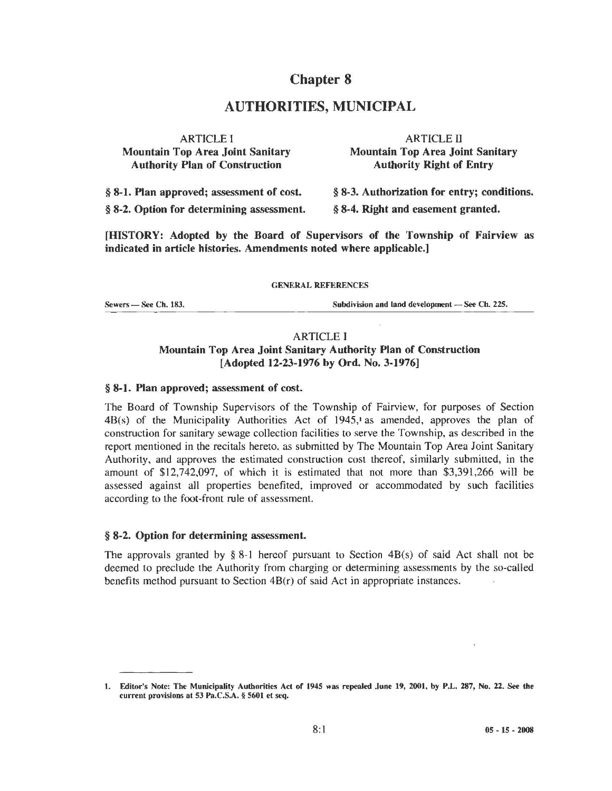## Chapter 8

# AUTHORITIES, MUNICIPAL

| <b>ARTICLE I</b>                          | <b>ARTICLE II</b>                           |
|-------------------------------------------|---------------------------------------------|
| <b>Mountain Top Area Joint Sanitary</b>   | <b>Mountain Top Area Joint Sanitary</b>     |
| <b>Authority Plan of Construction</b>     | <b>Authority Right of Entry</b>             |
| § 8-1. Plan approved; assessment of cost. | § 8-3. Authorization for entry; conditions. |
| § 8-2. Option for determining assessment. | § 8-4. Right and easement granted.          |

[HISTORY: Adopted by the Board of Supervisors of the Township of Fairview as indicated in article histories. Amendments noted where applicable.]

#### GENERAL REFERENCES

Sewers - See Ch. 183. Subdivision and land development - See Ch. 225.

## ARTICLE I Mountain Top Area Joint Sanitary Authority Plan of Construction [Adopted 12-23-1976 by Ord. No. 3-1976)

## § 8-1. Plan approved; assessment of cost.

The Board of Township Supervisors of the Township of Fairview, for purposes of Section 4B(s) of the Municipality Authorities Act of 1945,• as amended, approves the plan of construction for sanitary sewage collection facilities to serve the Township, as described in the report mentioned in the recitals hereto, as submitted by The Mountain Top Area Joint Sanitary Authority, and approves the estimated construction cost thereof, similarly submitted, in the amount of \$12,742,097, of which it is estimated that not more than \$3,391,266 will be assessed against all properties benefited, improved or accommodated by such facilities according to the foot-front rule of assessment.

#### § 8-2. Option for determining assessment.

The approvals granted by  $\S$  8-1 hereof pursuant to Section 4B(s) of said Act shall not be deemed to preclude the Authority from charging or determining assessments by the so-called benefits method pursuant to Section 4B(r) of said Act in appropriate instances.

<sup>1.</sup> Editor's Note: The Municipality Authorities Act of 1945 was repealed .June 19, 2001, by P.L. 287, No. 22. See the current provisions at 53 Pa.C.S.A. § 5601 et seq.